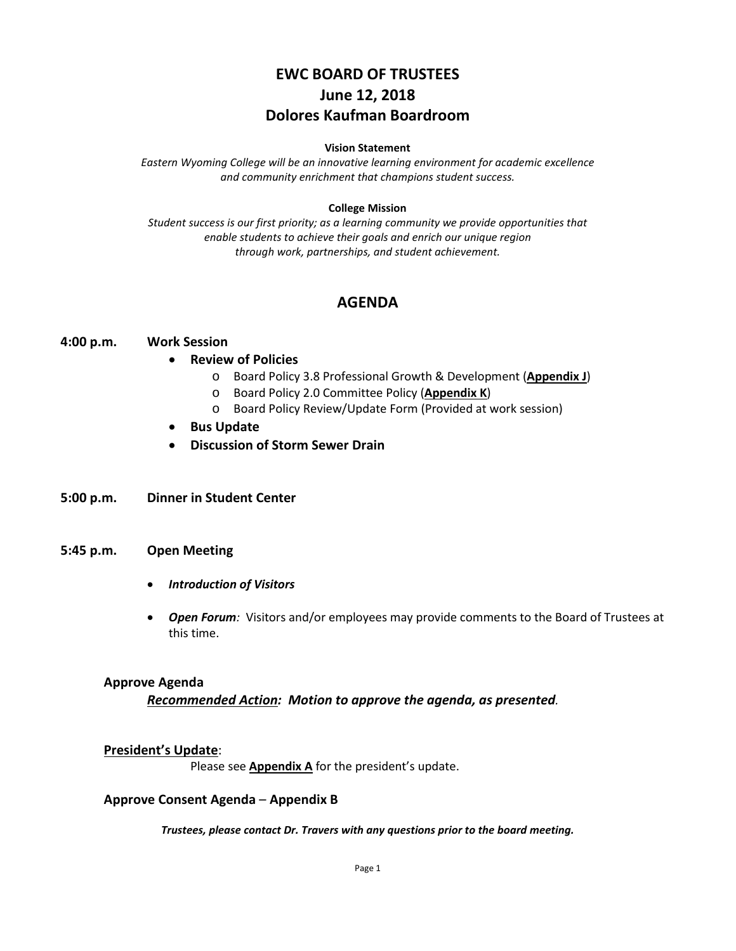# **EWC BOARD OF TRUSTEES June 12, 2018 Dolores Kaufman Boardroom**

#### **Vision Statement**

*Eastern Wyoming College will be an innovative learning environment for academic excellence and community enrichment that champions student success.*

#### **College Mission**

*Student success is our first priority; as a learning community we provide opportunities that enable students to achieve their goals and enrich our unique region through work, partnerships, and student achievement.*

# **AGENDA**

#### **4:00 p.m. Work Session**

- **Review of Policies**
	- o Board Policy 3.8 Professional Growth & Development (**Appendix J**)
	- o Board Policy 2.0 Committee Policy (**Appendix K**)
	- o Board Policy Review/Update Form (Provided at work session)
- **Bus Update**
- **Discussion of Storm Sewer Drain**
- **5:00 p.m. Dinner in Student Center**

#### **5:45 p.m. Open Meeting**

- *Introduction of Visitors*
- *Open Forum:* Visitors and/or employees may provide comments to the Board of Trustees at this time.

#### **Approve Agenda**

#### *Recommended Action: Motion to approve the agenda, as presented.*

#### **President's Update**:

Please see **Appendix A** for the president's update.

#### **Approve Consent Agenda** – **Appendix B**

*Trustees, please contact Dr. Travers with any questions prior to the board meeting.*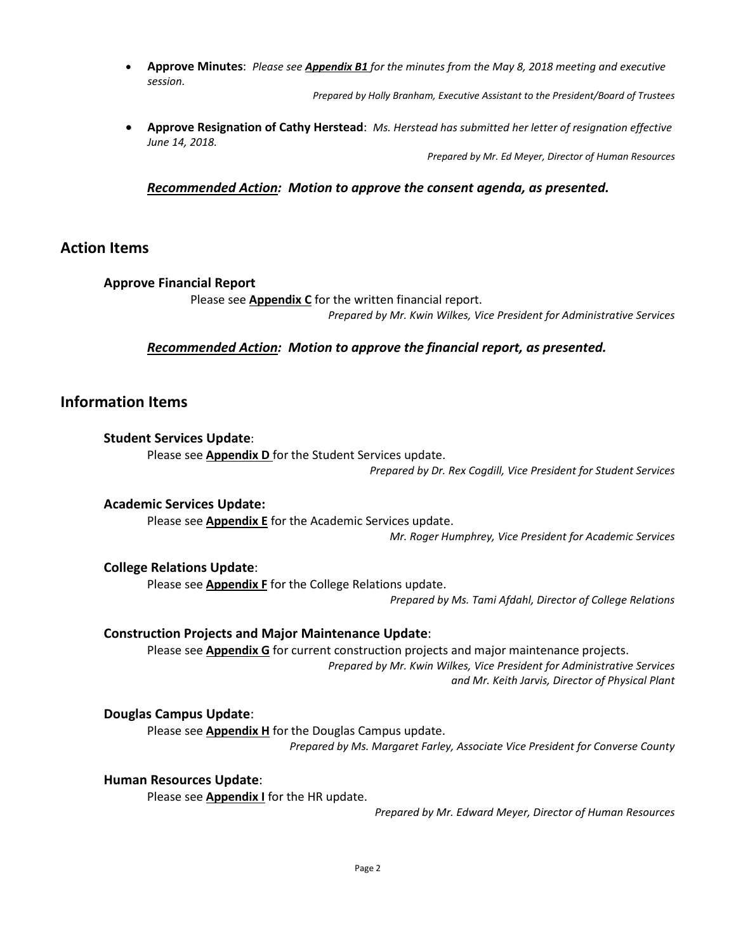• **Approve Minutes**: *Please see Appendix B1 for the minutes from the May 8, 2018 meeting and executive session.*

*Prepared by Holly Branham, Executive Assistant to the President/Board of Trustees*

• **Approve Resignation of Cathy Herstead**: *Ms. Herstead has submitted her letter of resignation effective June 14, 2018.*

*Prepared by Mr. Ed Meyer, Director of Human Resources*

## *Recommended Action: Motion to approve the consent agenda, as presented.*

# **Action Items**

## **Approve Financial Report**

Please see **Appendix C** for the written financial report.

*Prepared by Mr. Kwin Wilkes, Vice President for Administrative Services*

## *Recommended Action: Motion to approve the financial report, as presented.*

# **Information Items**

## **Student Services Update**:

Please see **Appendix D** for the Student Services update.

*Prepared by Dr. Rex Cogdill, Vice President for Student Services*

## **Academic Services Update:**

Please see **Appendix E** for the Academic Services update.

*Mr. Roger Humphrey, Vice President for Academic Services*

## **College Relations Update**:

Please see **Appendix F** for the College Relations update.

*Prepared by Ms. Tami Afdahl, Director of College Relations*

## **Construction Projects and Major Maintenance Update**:

Please see **Appendix G** for current construction projects and major maintenance projects. *Prepared by Mr. Kwin Wilkes, Vice President for Administrative Services and Mr. Keith Jarvis, Director of Physical Plant*

## **Douglas Campus Update**:

Please see **Appendix H** for the Douglas Campus update. *Prepared by Ms. Margaret Farley, Associate Vice President for Converse County*

## **Human Resources Update**:

Please see **Appendix I** for the HR update.

*Prepared by Mr. Edward Meyer, Director of Human Resources*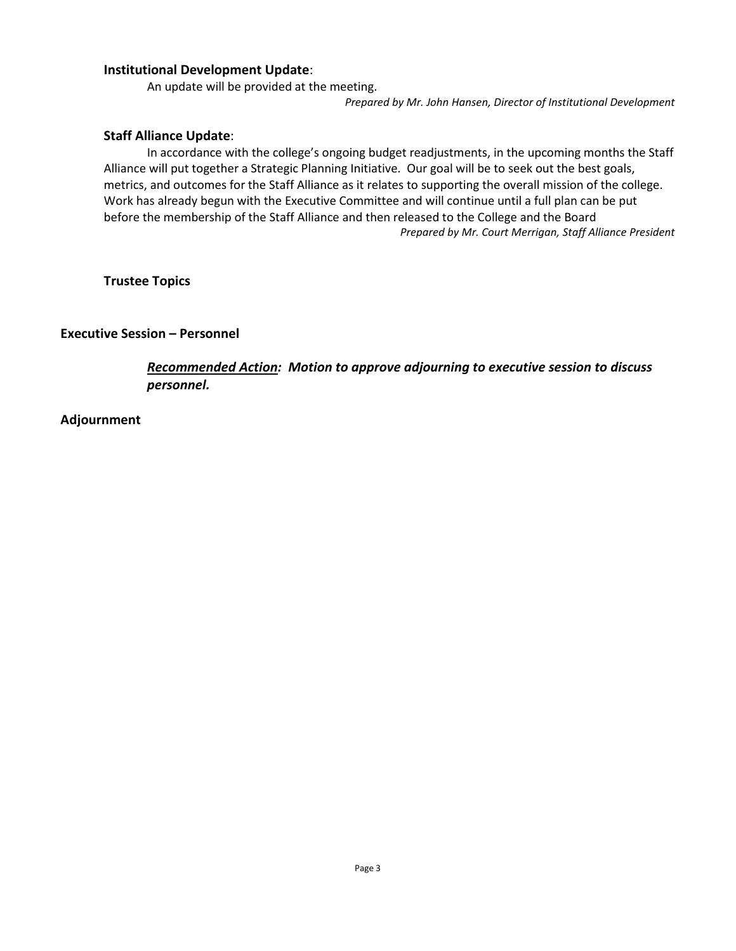## **Institutional Development Update**:

An update will be provided at the meeting.

*Prepared by Mr. John Hansen, Director of Institutional Development*

#### **Staff Alliance Update**:

In accordance with the college's ongoing budget readjustments, in the upcoming months the Staff Alliance will put together a Strategic Planning Initiative. Our goal will be to seek out the best goals, metrics, and outcomes for the Staff Alliance as it relates to supporting the overall mission of the college. Work has already begun with the Executive Committee and will continue until a full plan can be put before the membership of the Staff Alliance and then released to the College and the Board *Prepared by Mr. Court Merrigan, Staff Alliance President*

**Trustee Topics**

**Executive Session – Personnel**

*Recommended Action: Motion to approve adjourning to executive session to discuss personnel.*

**Adjournment**